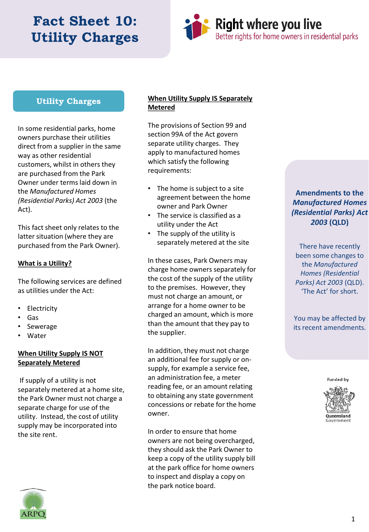# **Fact Sheet 10: Utility Charges**



### **Utility Charges**

In some residential parks, home owners purchase their utilities direct from a supplier in the same way as other residential customers, whilst in others they are purchased from the Park Owner under terms laid down in the *Manufactured Homes (Residential Parks) Act 2003* (the Act).

This fact sheet only relates to the latter situation (where they are purchased from the Park Owner).

#### **What is a Utility?**

The following services are defined as utilities under the Act:

- **Electricity**
- Gas
- **Sewerage**
- Water

#### **When Utility Supply IS NOT Separately Metered**

If supply of a utility is not separately metered at a home site, the Park Owner must not charge a separate charge for use of the utility. Instead, the cost of utility supply may be incorporated into the site rent.

### **When Utility Supply IS Separately Metered**

The provisions of Section 99 and section 99A of the Act govern separate utility charges. They apply to manufactured homes which satisfy the following requirements:

- The home is subject to a site agreement between the home owner and Park Owner
- The service is classified as a utility under the Act
- The supply of the utility is separately metered at the site

In these cases, Park Owners may charge home owners separately for the cost of the supply of the utility to the premises. However, they must not charge an amount, or arrange for a home owner to be charged an amount, which is more than the amount that they pay to the supplier.

In addition, they must not charge an additional fee for supply or onsupply, for example a service fee, an administration fee, a meter reading fee, or an amount relating to obtaining any state government concessions or rebate for the home owner.

In order to ensure that home owners are not being overcharged, they should ask the Park Owner to keep a copy of the utility supply bill at the park office for home owners to inspect and display a copy on the park notice board.

**Amendments to the**  *Manufactured Homes (Residential Parks) Act 2003* **(QLD)**

There have recently been some changes to the *Manufactured Homes (Residential Parks) Act 2003* (QLD). 'The Act' for short.

You may be affected by its recent amendments.

**Funded by**